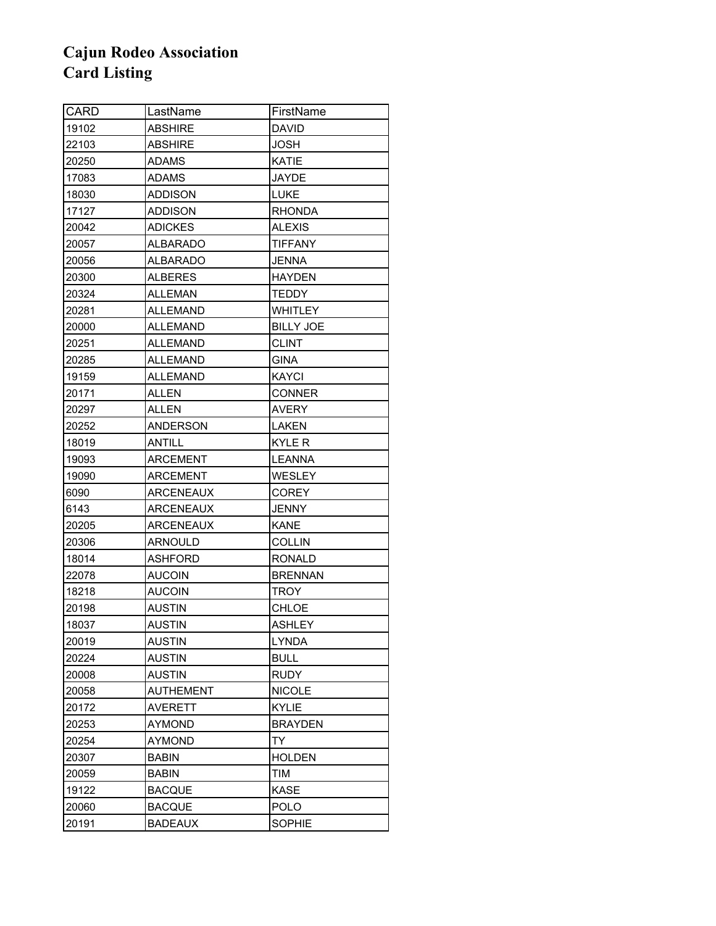| <b>CARD</b> | LastName         | FirstName        |
|-------------|------------------|------------------|
| 19102       | <b>ABSHIRE</b>   | <b>DAVID</b>     |
| 22103       | <b>ABSHIRE</b>   | JOSH             |
| 20250       | ADAMS            | KATIE            |
| 17083       | <b>ADAMS</b>     | <b>JAYDE</b>     |
| 18030       | <b>ADDISON</b>   | LUKE             |
| 17127       | ADDISON          | <b>RHONDA</b>    |
| 20042       | <b>ADICKES</b>   | <b>ALEXIS</b>    |
| 20057       | ALBARADO         | <b>TIFFANY</b>   |
| 20056       | <b>ALBARADO</b>  | <b>JENNA</b>     |
| 20300       | <b>ALBERES</b>   | <b>HAYDEN</b>    |
| 20324       | ALLEMAN          | <b>TEDDY</b>     |
| 20281       | ALLEMAND         | WHITLEY          |
| 20000       | ALLEMAND         | <b>BILLY JOE</b> |
| 20251       | ALLEMAND         | <b>CLINT</b>     |
| 20285       | ALLEMAND         | <b>GINA</b>      |
| 19159       | ALLEMAND         | <b>KAYCI</b>     |
| 20171       | ALLEN            | <b>CONNER</b>    |
| 20297       | <b>ALLEN</b>     | AVERY            |
| 20252       | ANDERSON         | LAKEN            |
| 18019       | ANTILL           | KYLE R           |
| 19093       | <b>ARCEMENT</b>  | <b>LEANNA</b>    |
| 19090       | ARCEMENT         | WESLEY           |
| 6090        | ARCENEAUX        | <b>COREY</b>     |
| 6143        | ARCENEAUX        | JENNY            |
| 20205       | ARCENEAUX        | <b>KANE</b>      |
| 20306       | <b>ARNOULD</b>   | <b>COLLIN</b>    |
| 18014       | <b>ASHFORD</b>   | <b>RONALD</b>    |
| 22078       | <b>AUCOIN</b>    | <b>BRENNAN</b>   |
| 18218       | <b>AUCOIN</b>    | TROY             |
| 20198       | <b>AUSTIN</b>    | CHLOE            |
| 18037       | <b>AUSTIN</b>    | <b>ASHLEY</b>    |
| 20019       | <b>AUSTIN</b>    | <b>LYNDA</b>     |
| 20224       | <b>AUSTIN</b>    | <b>BULL</b>      |
| 20008       | <b>AUSTIN</b>    | <b>RUDY</b>      |
| 20058       | <b>AUTHEMENT</b> | <b>NICOLE</b>    |
| 20172       | <b>AVERETT</b>   | <b>KYLIE</b>     |
| 20253       | AYMOND           | <b>BRAYDEN</b>   |
| 20254       | <b>AYMOND</b>    | <b>TY</b>        |
| 20307       | <b>BABIN</b>     | <b>HOLDEN</b>    |
| 20059       | <b>BABIN</b>     | TIM              |
| 19122       | <b>BACQUE</b>    | <b>KASE</b>      |
| 20060       | <b>BACQUE</b>    | <b>POLO</b>      |
| 20191       | <b>BADEAUX</b>   | SOPHIE           |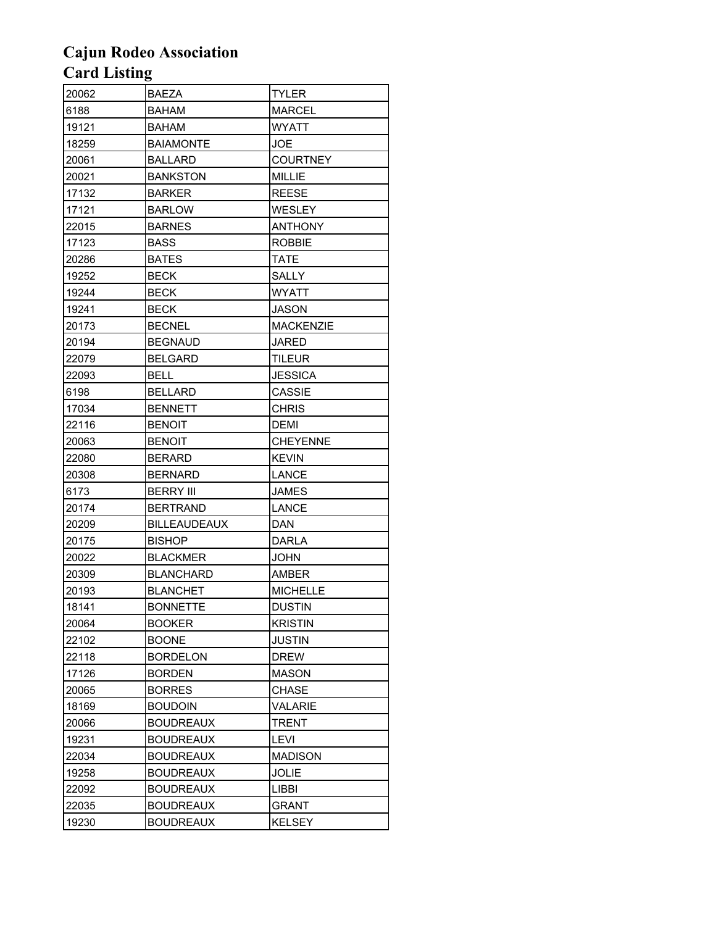| 20062 | <b>BAEZA</b>        | <b>TYLER</b>     |
|-------|---------------------|------------------|
| 6188  | <b>BAHAM</b>        | <b>MARCEL</b>    |
| 19121 | <b>BAHAM</b>        | <b>WYATT</b>     |
| 18259 | BAIAMONTE           | <b>JOE</b>       |
| 20061 | <b>BALLARD</b>      | <b>COURTNEY</b>  |
| 20021 | <b>BANKSTON</b>     | MILLIE           |
| 17132 | <b>BARKER</b>       | <b>REESE</b>     |
| 17121 | <b>BARLOW</b>       | WESLEY           |
| 22015 | <b>BARNES</b>       | <b>ANTHONY</b>   |
| 17123 | <b>BASS</b>         | <b>ROBBIE</b>    |
| 20286 | <b>BATES</b>        | TATE             |
| 19252 | <b>BECK</b>         | SALLY            |
| 19244 | <b>BECK</b>         | <b>WYATT</b>     |
| 19241 | <b>BECK</b>         | JASON            |
| 20173 | <b>BECNEL</b>       | <b>MACKENZIE</b> |
| 20194 | <b>BEGNAUD</b>      | JARED            |
| 22079 | <b>BELGARD</b>      | TILEUR           |
| 22093 | BELL                | <b>JESSICA</b>   |
| 6198  | <b>BELLARD</b>      | CASSIE           |
| 17034 | <b>BENNETT</b>      | <b>CHRIS</b>     |
| 22116 | <b>BENOIT</b>       | <b>DEMI</b>      |
| 20063 | <b>BENOIT</b>       | <b>CHEYENNE</b>  |
| 22080 | <b>BERARD</b>       | <b>KEVIN</b>     |
| 20308 | <b>BERNARD</b>      | LANCE            |
| 6173  | <b>BERRY III</b>    | <b>JAMES</b>     |
| 20174 | <b>BERTRAND</b>     | LANCE            |
| 20209 | <b>BILLEAUDEAUX</b> | <b>DAN</b>       |
| 20175 | <b>BISHOP</b>       | <b>DARLA</b>     |
| 20022 | <b>BLACKMER</b>     | <b>JOHN</b>      |
| 20309 | <b>BLANCHARD</b>    | AMBER            |
| 20193 | <b>BLANCHET</b>     | <b>MICHELLE</b>  |
| 18141 | <b>BONNETTE</b>     | <b>DUSTIN</b>    |
| 20064 | <b>BOOKER</b>       | <b>KRISTIN</b>   |
| 22102 | <b>BOONE</b>        | JUSTIN           |
| 22118 | <b>BORDELON</b>     | <b>DREW</b>      |
| 17126 | <b>BORDEN</b>       | MASON            |
| 20065 | <b>BORRES</b>       | CHASE            |
| 18169 | <b>BOUDOIN</b>      | VALARIE          |
| 20066 | <b>BOUDREAUX</b>    | TRENT            |
| 19231 | <b>BOUDREAUX</b>    | LEVI             |
| 22034 | <b>BOUDREAUX</b>    | <b>MADISON</b>   |
| 19258 | <b>BOUDREAUX</b>    | <b>JOLIE</b>     |
| 22092 | <b>BOUDREAUX</b>    | <b>LIBBI</b>     |
| 22035 | <b>BOUDREAUX</b>    | GRANT            |
| 19230 | <b>BOUDREAUX</b>    | KELSEY           |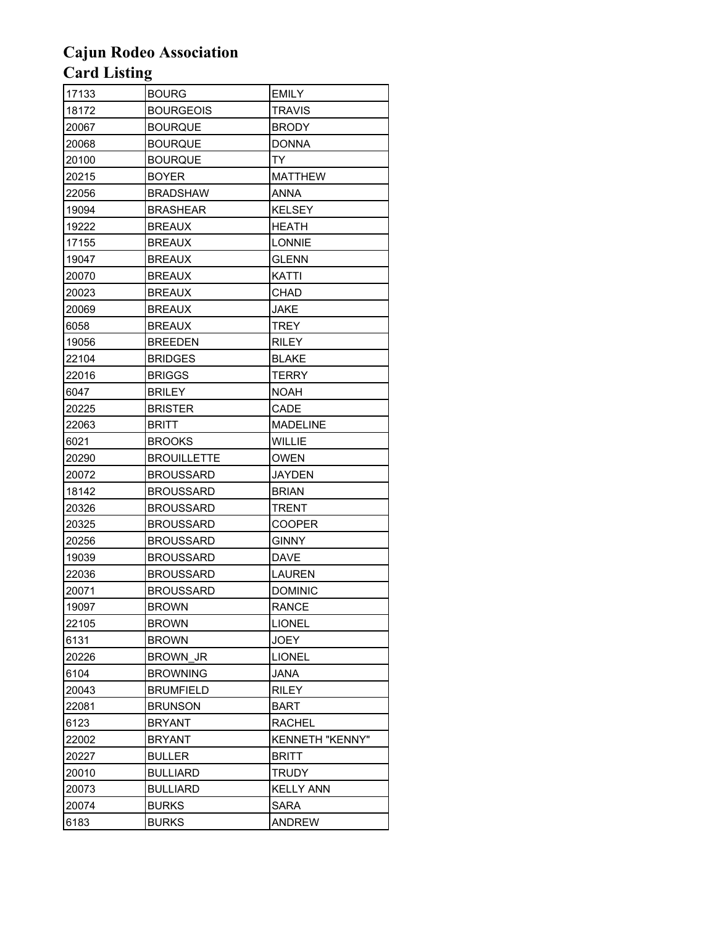| 17133 | <b>BOURG</b>       | EMILY                  |
|-------|--------------------|------------------------|
| 18172 | <b>BOURGEOIS</b>   | <b>TRAVIS</b>          |
| 20067 | <b>BOURQUE</b>     | <b>BRODY</b>           |
| 20068 | <b>BOURQUE</b>     | <b>DONNA</b>           |
| 20100 | <b>BOURQUE</b>     | TY.                    |
| 20215 | <b>BOYER</b>       | <b>MATTHEW</b>         |
| 22056 | <b>BRADSHAW</b>    | ANNA                   |
| 19094 | <b>BRASHEAR</b>    | <b>KELSEY</b>          |
| 19222 | <b>BREAUX</b>      | <b>HEATH</b>           |
| 17155 | <b>BREAUX</b>      | LONNIE                 |
| 19047 | <b>BREAUX</b>      | <b>GLENN</b>           |
| 20070 | <b>BREAUX</b>      | KATTI                  |
| 20023 | <b>BREAUX</b>      | CHAD                   |
| 20069 | <b>BREAUX</b>      | JAKE                   |
| 6058  | <b>BREAUX</b>      | TREY                   |
| 19056 | <b>BREEDEN</b>     | <b>RILEY</b>           |
| 22104 | <b>BRIDGES</b>     | <b>BLAKE</b>           |
| 22016 | <b>BRIGGS</b>      | TERRY                  |
| 6047  | BRILEY             | <b>NOAH</b>            |
| 20225 | <b>BRISTER</b>     | CADE                   |
| 22063 | <b>BRITT</b>       | <b>MADELINE</b>        |
| 6021  | <b>BROOKS</b>      | WILLIE                 |
| 20290 | <b>BROUILLETTE</b> | <b>OWEN</b>            |
| 20072 | <b>BROUSSARD</b>   | <b>JAYDEN</b>          |
| 18142 | BROUSSARD          | <b>BRIAN</b>           |
| 20326 | <b>BROUSSARD</b>   | <b>TRENT</b>           |
| 20325 | <b>BROUSSARD</b>   | <b>COOPER</b>          |
| 20256 | BROUSSARD          | <b>GINNY</b>           |
| 19039 | <b>BROUSSARD</b>   | <b>DAVE</b>            |
| 22036 | BROUSSARD          | <b>LAUREN</b>          |
| 20071 | <b>BROUSSARD</b>   | <b>DOMINIC</b>         |
| 19097 | <b>BROWN</b>       | <b>RANCE</b>           |
| 22105 | <b>BROWN</b>       | <b>LIONEL</b>          |
| 6131  | <b>BROWN</b>       | <b>JOEY</b>            |
| 20226 | <b>BROWN JR</b>    | <b>LIONEL</b>          |
| 6104  | <b>BROWNING</b>    | <b>JANA</b>            |
| 20043 | <b>BRUMFIELD</b>   | RILEY                  |
| 22081 | <b>BRUNSON</b>     | BART                   |
| 6123  | <b>BRYANT</b>      | <b>RACHEL</b>          |
| 22002 | <b>BRYANT</b>      | <b>KENNETH "KENNY"</b> |
| 20227 | <b>BULLER</b>      | <b>BRITT</b>           |
| 20010 | <b>BULLIARD</b>    | TRUDY                  |
| 20073 | <b>BULLIARD</b>    | <b>KELLY ANN</b>       |
| 20074 | <b>BURKS</b>       | <b>SARA</b>            |
| 6183  | <b>BURKS</b>       | <b>ANDREW</b>          |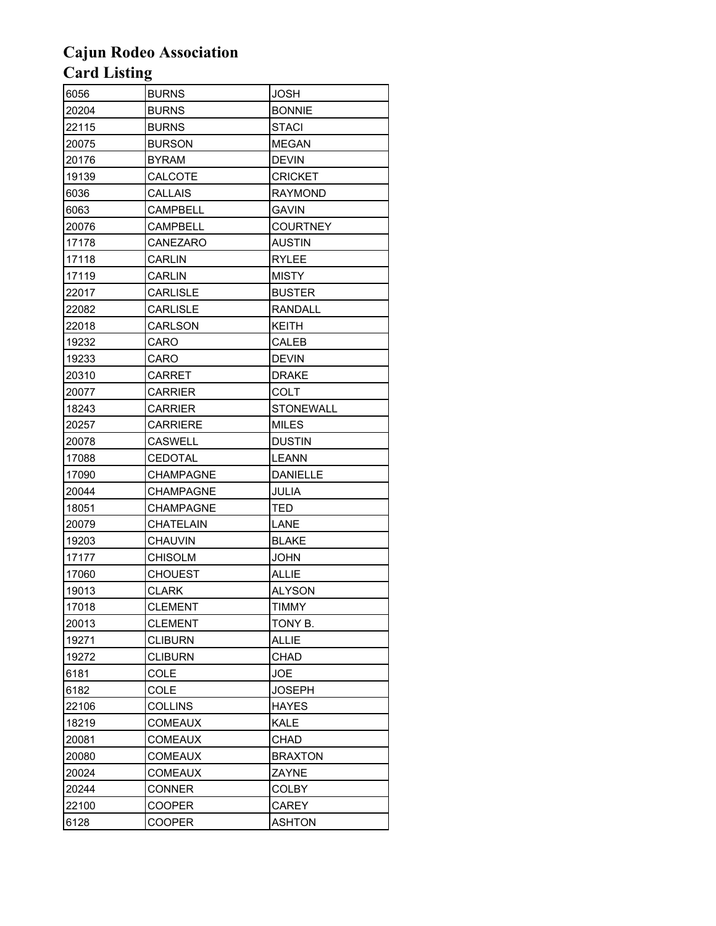| 6056  | <b>BURNS</b>     | <b>JOSH</b>      |
|-------|------------------|------------------|
| 20204 | <b>BURNS</b>     | <b>BONNIE</b>    |
| 22115 | <b>BURNS</b>     | <b>STACI</b>     |
| 20075 | <b>BURSON</b>    | <b>MEGAN</b>     |
| 20176 | <b>BYRAM</b>     | <b>DEVIN</b>     |
| 19139 | CALCOTE          | <b>CRICKET</b>   |
| 6036  | CALLAIS          | <b>RAYMOND</b>   |
| 6063  | <b>CAMPBELL</b>  | <b>GAVIN</b>     |
| 20076 | CAMPBELL         | COURTNEY         |
| 17178 | CANEZARO         | <b>AUSTIN</b>    |
| 17118 | <b>CARLIN</b>    | <b>RYLEE</b>     |
| 17119 | <b>CARLIN</b>    | <b>MISTY</b>     |
| 22017 | <b>CARLISLE</b>  | <b>BUSTER</b>    |
| 22082 | CARLISLE         | <b>RANDALL</b>   |
| 22018 | <b>CARLSON</b>   | KEITH            |
| 19232 | CARO             | CALEB            |
| 19233 | CARO             | <b>DEVIN</b>     |
| 20310 | CARRET           | <b>DRAKE</b>     |
| 20077 | <b>CARRIER</b>   | COLT             |
| 18243 | <b>CARRIER</b>   | <b>STONEWALL</b> |
| 20257 | CARRIERE         | <b>MILES</b>     |
| 20078 | CASWELL          | <b>DUSTIN</b>    |
| 17088 | CEDOTAL          | <b>LEANN</b>     |
| 17090 | <b>CHAMPAGNE</b> | <b>DANIELLE</b>  |
| 20044 | CHAMPAGNE        | JULIA            |
| 18051 | <b>CHAMPAGNE</b> | TED              |
| 20079 | <b>CHATELAIN</b> | LANE             |
| 19203 | <b>CHAUVIN</b>   | <b>BLAKE</b>     |
| 17177 | <b>CHISOLM</b>   | <b>JOHN</b>      |
| 17060 | CHOUEST          | ALLIE            |
| 19013 | <b>CLARK</b>     | <b>ALYSON</b>    |
| 17018 | CLEMENT          | <b>TIMMY</b>     |
| 20013 | <b>CLEMENT</b>   | TONY B.          |
| 19271 | <b>CLIBURN</b>   | <b>ALLIE</b>     |
| 19272 | <b>CLIBURN</b>   | CHAD             |
| 6181  | COLE             | <b>JOE</b>       |
| 6182  | COLE             | <b>JOSEPH</b>    |
| 22106 | <b>COLLINS</b>   | <b>HAYES</b>     |
| 18219 | <b>COMEAUX</b>   | KALE             |
| 20081 | <b>COMEAUX</b>   | CHAD             |
| 20080 | <b>COMEAUX</b>   | <b>BRAXTON</b>   |
| 20024 | <b>COMEAUX</b>   | ZAYNE            |
| 20244 | <b>CONNER</b>    | COLBY            |
| 22100 | <b>COOPER</b>    | CAREY            |
| 6128  | <b>COOPER</b>    | <b>ASHTON</b>    |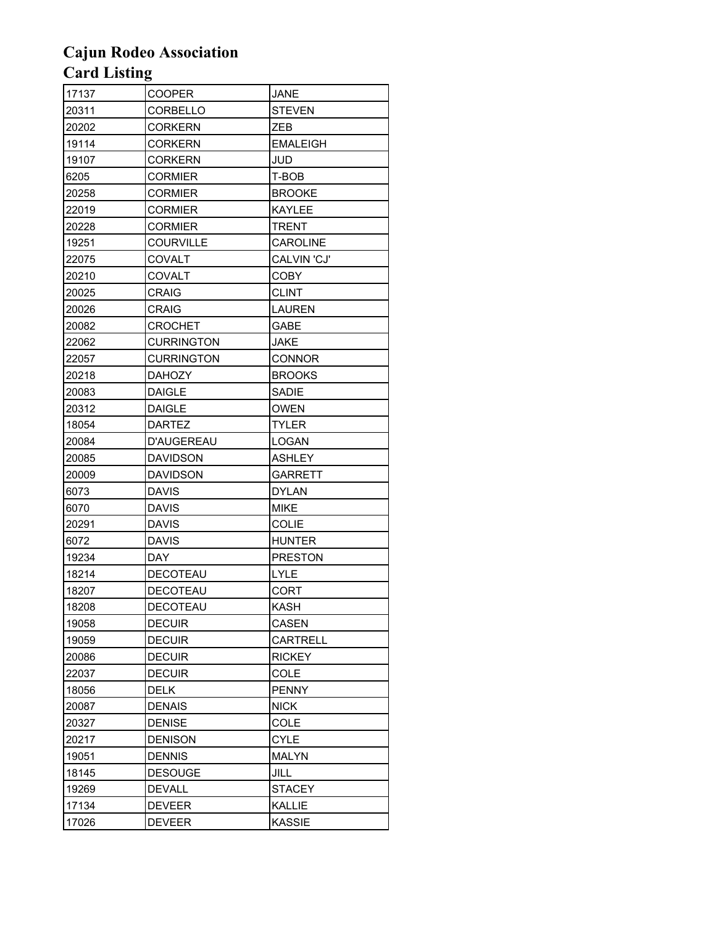| 17137 | <b>COOPER</b>     | JANE            |
|-------|-------------------|-----------------|
| 20311 | CORBELLO          | <b>STEVEN</b>   |
| 20202 | <b>CORKERN</b>    | ZEB             |
| 19114 | <b>CORKERN</b>    | <b>EMALEIGH</b> |
| 19107 | <b>CORKERN</b>    | JUD             |
| 6205  | CORMIER           | T-BOB           |
| 20258 | <b>CORMIER</b>    | <b>BROOKE</b>   |
| 22019 | <b>CORMIER</b>    | <b>KAYLEE</b>   |
| 20228 | CORMIER           | TRENT           |
| 19251 | <b>COURVILLE</b>  | CAROLINE        |
| 22075 | COVALT            | CALVIN 'CJ'     |
| 20210 | <b>COVALT</b>     | COBY            |
| 20025 | <b>CRAIG</b>      | <b>CLINT</b>    |
| 20026 | <b>CRAIG</b>      | LAUREN          |
| 20082 | <b>CROCHET</b>    | GABE            |
| 22062 | <b>CURRINGTON</b> | JAKE            |
| 22057 | <b>CURRINGTON</b> | <b>CONNOR</b>   |
| 20218 | <b>DAHOZY</b>     | <b>BROOKS</b>   |
| 20083 | <b>DAIGLE</b>     | SADIE           |
| 20312 | <b>DAIGLE</b>     | <b>OWEN</b>     |
| 18054 | DARTEZ            | <b>TYLER</b>    |
| 20084 | D'AUGEREAU        | LOGAN           |
| 20085 | DAVIDSON          | ASHLEY          |
| 20009 | <b>DAVIDSON</b>   | <b>GARRETT</b>  |
| 6073  | DAVIS             | <b>DYLAN</b>    |
| 6070  | DAVIS             | MIKE            |
| 20291 | <b>DAVIS</b>      | <b>COLIE</b>    |
| 6072  | <b>DAVIS</b>      | <b>HUNTER</b>   |
| 19234 | DAY               | <b>PRESTON</b>  |
| 18214 | <b>DECOTEAU</b>   | LYLE            |
| 18207 | DECOTEAU          | CORT            |
| 18208 | DECOTEAU          | <b>KASH</b>     |
| 19058 | <b>DECUIR</b>     | CASEN           |
| 19059 | <b>DECUIR</b>     | <b>CARTRELL</b> |
| 20086 | <b>DECUIR</b>     | <b>RICKEY</b>   |
| 22037 | <b>DECUIR</b>     | COLE            |
| 18056 | DELK              | <b>PENNY</b>    |
| 20087 | <b>DENAIS</b>     | <b>NICK</b>     |
| 20327 | <b>DENISE</b>     | COLE            |
| 20217 | <b>DENISON</b>    | <b>CYLE</b>     |
| 19051 | <b>DENNIS</b>     | <b>MALYN</b>    |
| 18145 | <b>DESOUGE</b>    | <b>JILL</b>     |
| 19269 | DEVALL            | <b>STACEY</b>   |
| 17134 | <b>DEVEER</b>     | <b>KALLIE</b>   |
| 17026 | <b>DEVEER</b>     | KASSIE          |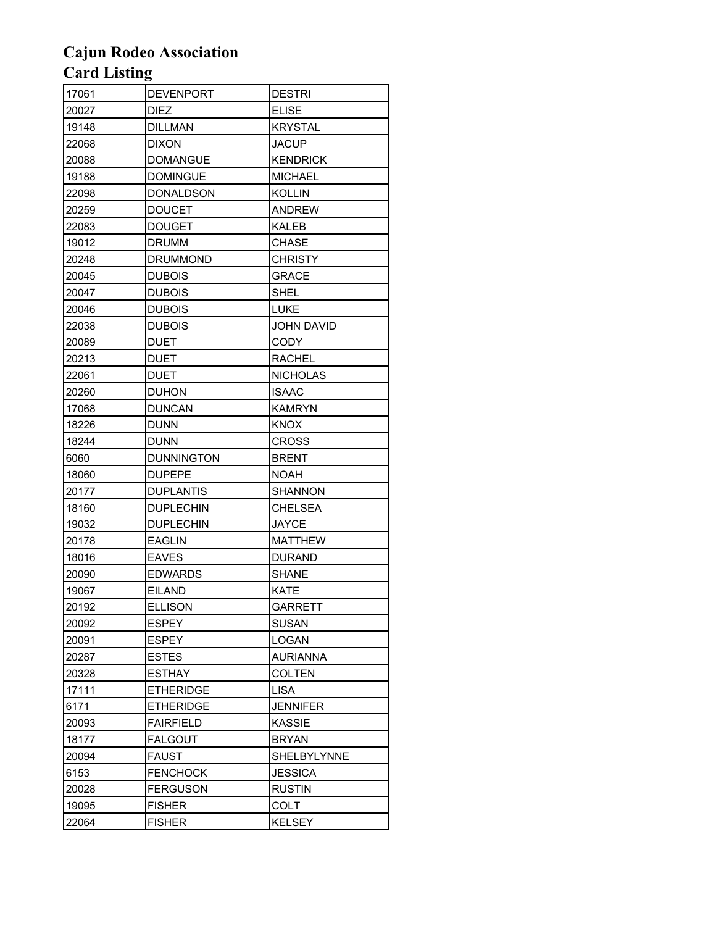| 17061 | <b>DEVENPORT</b>  | <b>DESTRI</b>      |
|-------|-------------------|--------------------|
| 20027 | DIEZ              | <b>ELISE</b>       |
| 19148 | <b>DILLMAN</b>    | <b>KRYSTAL</b>     |
| 22068 | <b>DIXON</b>      | <b>JACUP</b>       |
| 20088 | <b>DOMANGUE</b>   | <b>KENDRICK</b>    |
| 19188 | <b>DOMINGUE</b>   | <b>MICHAEL</b>     |
| 22098 | DONALDSON         | <b>KOLLIN</b>      |
| 20259 | <b>DOUCET</b>     | <b>ANDREW</b>      |
| 22083 | <b>DOUGET</b>     | <b>KALEB</b>       |
| 19012 | <b>DRUMM</b>      | CHASE              |
| 20248 | <b>DRUMMOND</b>   | <b>CHRISTY</b>     |
| 20045 | <b>DUBOIS</b>     | GRACE              |
| 20047 | <b>DUBOIS</b>     | SHEL               |
| 20046 | <b>DUBOIS</b>     | LUKE               |
| 22038 | <b>DUBOIS</b>     | <b>JOHN DAVID</b>  |
| 20089 | <b>DUET</b>       | <b>CODY</b>        |
| 20213 | <b>DUET</b>       | <b>RACHEL</b>      |
| 22061 | <b>DUET</b>       | <b>NICHOLAS</b>    |
| 20260 | <b>DUHON</b>      | <b>ISAAC</b>       |
| 17068 | <b>DUNCAN</b>     | <b>KAMRYN</b>      |
| 18226 | <b>DUNN</b>       | <b>KNOX</b>        |
| 18244 | <b>DUNN</b>       | <b>CROSS</b>       |
| 6060  | <b>DUNNINGTON</b> | <b>BRENT</b>       |
| 18060 | <b>DUPEPE</b>     | NOAH               |
| 20177 | <b>DUPLANTIS</b>  | <b>SHANNON</b>     |
| 18160 | <b>DUPLECHIN</b>  | CHELSEA            |
| 19032 | <b>DUPLECHIN</b>  | <b>JAYCE</b>       |
| 20178 | <b>EAGLIN</b>     | <b>MATTHEW</b>     |
| 18016 | <b>EAVES</b>      | <b>DURAND</b>      |
| 20090 | <b>EDWARDS</b>    | <b>SHANE</b>       |
| 19067 | <b>EILAND</b>     | <b>KATE</b>        |
| 20192 | <b>ELLISON</b>    | <b>GARRETT</b>     |
| 20092 | <b>ESPEY</b>      | <b>SUSAN</b>       |
| 20091 | <b>ESPEY</b>      | LOGAN              |
| 20287 | <b>ESTES</b>      | <b>AURIANNA</b>    |
| 20328 | <b>ESTHAY</b>     | <b>COLTEN</b>      |
| 17111 | <b>ETHERIDGE</b>  | <b>LISA</b>        |
| 6171  | <b>ETHERIDGE</b>  | <b>JENNIFER</b>    |
| 20093 | <b>FAIRFIELD</b>  | <b>KASSIE</b>      |
| 18177 | <b>FALGOUT</b>    | <b>BRYAN</b>       |
| 20094 | FAUST             | <b>SHELBYLYNNE</b> |
| 6153  | <b>FENCHOCK</b>   | <b>JESSICA</b>     |
| 20028 | <b>FERGUSON</b>   | <b>RUSTIN</b>      |
| 19095 | <b>FISHER</b>     | COLT               |
| 22064 | <b>FISHER</b>     | <b>KELSEY</b>      |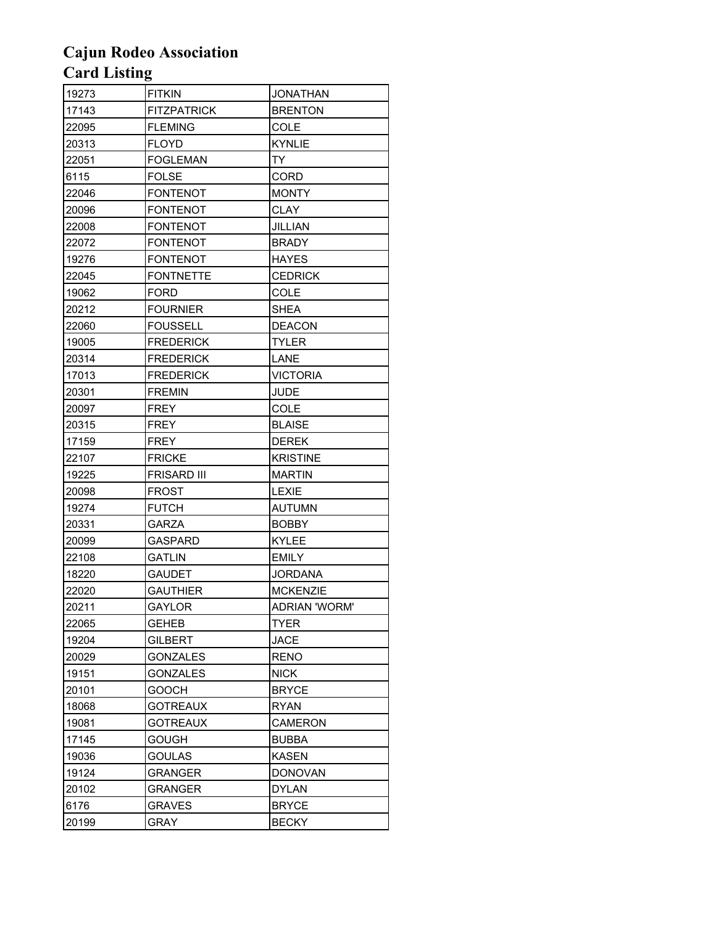| 19273 | <b>FITKIN</b>      | <b>JONATHAN</b>      |
|-------|--------------------|----------------------|
| 17143 | <b>FITZPATRICK</b> | <b>BRENTON</b>       |
| 22095 | <b>FLEMING</b>     | COLE                 |
| 20313 | <b>FLOYD</b>       | <b>KYNLIE</b>        |
| 22051 | <b>FOGLEMAN</b>    | TY                   |
| 6115  | <b>FOLSE</b>       | <b>CORD</b>          |
| 22046 | <b>FONTENOT</b>    | <b>MONTY</b>         |
| 20096 | <b>FONTENOT</b>    | <b>CLAY</b>          |
| 22008 | <b>FONTENOT</b>    | JILLIAN              |
| 22072 | <b>FONTENOT</b>    | <b>BRADY</b>         |
| 19276 | <b>FONTENOT</b>    | <b>HAYES</b>         |
| 22045 | <b>FONTNETTE</b>   | <b>CEDRICK</b>       |
| 19062 | FORD               | <b>COLE</b>          |
| 20212 | <b>FOURNIER</b>    | <b>SHEA</b>          |
| 22060 | <b>FOUSSELL</b>    | <b>DEACON</b>        |
| 19005 | <b>FREDERICK</b>   | <b>TYLER</b>         |
| 20314 | <b>FREDERICK</b>   | LANE                 |
| 17013 | <b>FREDERICK</b>   | <b>VICTORIA</b>      |
| 20301 | <b>FREMIN</b>      | <b>JUDE</b>          |
| 20097 | FREY               | COLE                 |
| 20315 | <b>FREY</b>        | <b>BLAISE</b>        |
| 17159 | FREY               | <b>DEREK</b>         |
| 22107 | <b>FRICKE</b>      | <b>KRISTINE</b>      |
| 19225 | <b>FRISARD III</b> | <b>MARTIN</b>        |
| 20098 | FROST              | <b>LEXIE</b>         |
| 19274 | <b>FUTCH</b>       | <b>AUTUMN</b>        |
| 20331 | <b>GARZA</b>       | <b>BOBBY</b>         |
| 20099 | <b>GASPARD</b>     | KYLEE                |
| 22108 | GATLIN             | <b>EMILY</b>         |
| 18220 | <b>GAUDET</b>      | <b>JORDANA</b>       |
| 22020 | <b>GAUTHIER</b>    | <b>MCKENZIE</b>      |
| 20211 | GAYLOR             | <b>ADRIAN 'WORM'</b> |
| 22065 | <b>GEHEB</b>       | <b>TYER</b>          |
| 19204 | <b>GILBERT</b>     | JACE                 |
| 20029 | <b>GONZALES</b>    | <b>RENO</b>          |
| 19151 | <b>GONZALES</b>    | <b>NICK</b>          |
| 20101 | <b>GOOCH</b>       | <b>BRYCE</b>         |
| 18068 | <b>GOTREAUX</b>    | <b>RYAN</b>          |
| 19081 | <b>GOTREAUX</b>    | <b>CAMERON</b>       |
| 17145 | <b>GOUGH</b>       | <b>BUBBA</b>         |
| 19036 | <b>GOULAS</b>      | <b>KASEN</b>         |
| 19124 | <b>GRANGER</b>     | <b>DONOVAN</b>       |
| 20102 | <b>GRANGER</b>     | DYLAN                |
| 6176  | <b>GRAVES</b>      | <b>BRYCE</b>         |
| 20199 | <b>GRAY</b>        | <b>BECKY</b>         |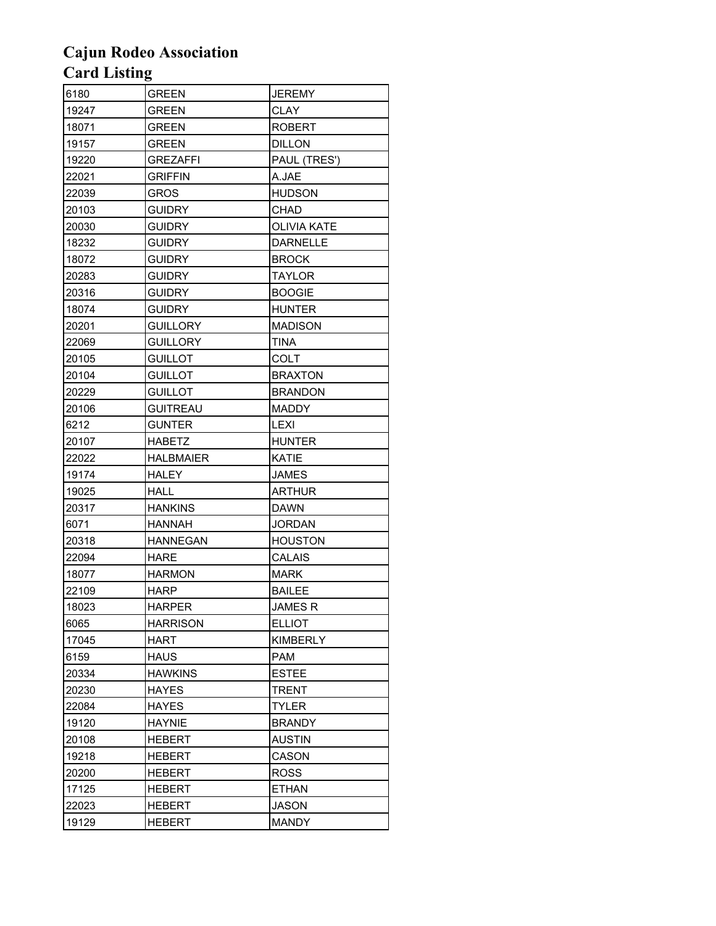| 6180  | GREEN            | JEREMY             |
|-------|------------------|--------------------|
| 19247 | <b>GREEN</b>     | <b>CLAY</b>        |
| 18071 | GREEN            | <b>ROBERT</b>      |
| 19157 | GREEN            | <b>DILLON</b>      |
| 19220 | <b>GREZAFFI</b>  | PAUL (TRES')       |
| 22021 | <b>GRIFFIN</b>   | A.JAE              |
| 22039 | GROS             | <b>HUDSON</b>      |
| 20103 | <b>GUIDRY</b>    | CHAD               |
| 20030 | <b>GUIDRY</b>    | <b>OLIVIA KATE</b> |
| 18232 | <b>GUIDRY</b>    | <b>DARNELLE</b>    |
| 18072 | <b>GUIDRY</b>    | <b>BROCK</b>       |
| 20283 | <b>GUIDRY</b>    | TAYLOR             |
| 20316 | <b>GUIDRY</b>    | <b>BOOGIE</b>      |
| 18074 | <b>GUIDRY</b>    | <b>HUNTER</b>      |
| 20201 | <b>GUILLORY</b>  | <b>MADISON</b>     |
| 22069 | <b>GUILLORY</b>  | <b>TINA</b>        |
| 20105 | <b>GUILLOT</b>   | COLT               |
| 20104 | <b>GUILLOT</b>   | <b>BRAXTON</b>     |
| 20229 | <b>GUILLOT</b>   | <b>BRANDON</b>     |
| 20106 | <b>GUITREAU</b>  | <b>MADDY</b>       |
| 6212  | <b>GUNTER</b>    | <b>LEXI</b>        |
| 20107 | <b>HABETZ</b>    | <b>HUNTER</b>      |
| 22022 | <b>HALBMAIER</b> | KATIE              |
| 19174 | <b>HALEY</b>     | <b>JAMES</b>       |
| 19025 | HALL             | <b>ARTHUR</b>      |
| 20317 | <b>HANKINS</b>   | <b>DAWN</b>        |
| 6071  | <b>HANNAH</b>    | <b>JORDAN</b>      |
| 20318 | <b>HANNEGAN</b>  | <b>HOUSTON</b>     |
| 22094 | <b>HARE</b>      | CALAIS             |
| 18077 | <b>HARMON</b>    | <b>MARK</b>        |
| 22109 | <b>HARP</b>      | <b>BAILEE</b>      |
| 18023 | HARPER           | <b>JAMES R</b>     |
| 6065  | <b>HARRISON</b>  | <b>ELLIOT</b>      |
| 17045 | <b>HART</b>      | <b>KIMBERLY</b>    |
| 6159  | <b>HAUS</b>      | <b>PAM</b>         |
| 20334 | <b>HAWKINS</b>   | <b>ESTEE</b>       |
| 20230 | HAYES            | TRENT              |
| 22084 | <b>HAYES</b>     | <b>TYLER</b>       |
| 19120 | HAYNIE           | <b>BRANDY</b>      |
| 20108 | <b>HEBERT</b>    | <b>AUSTIN</b>      |
| 19218 | <b>HEBERT</b>    | CASON              |
| 20200 | HEBERT           | <b>ROSS</b>        |
| 17125 | HEBERT           | ETHAN              |
| 22023 | <b>HEBERT</b>    | JASON              |
| 19129 | <b>HEBERT</b>    | <b>MANDY</b>       |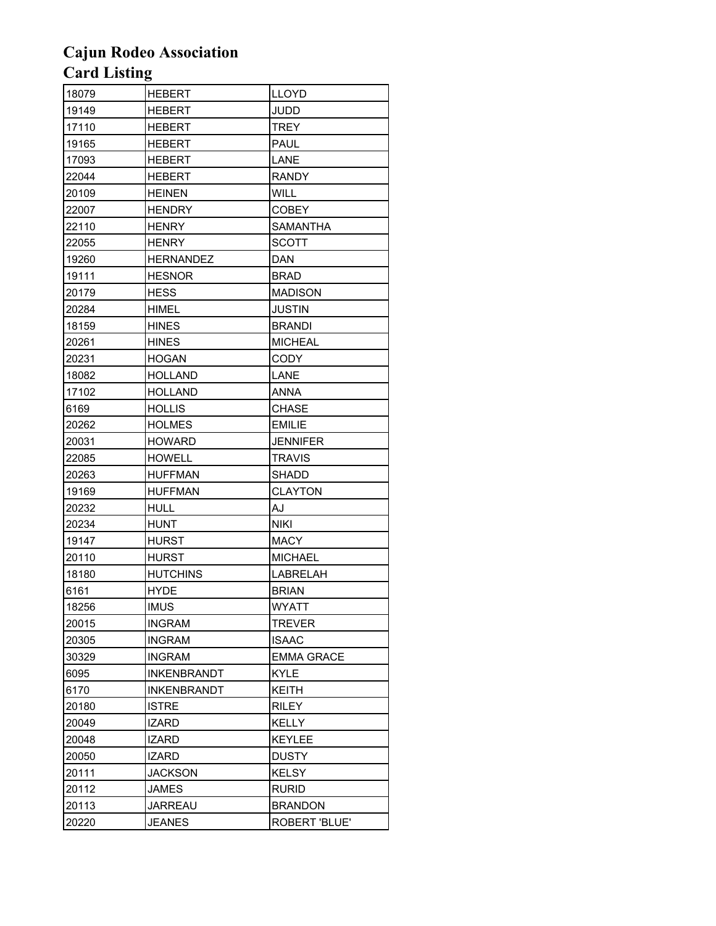| 18079 | HEBERT             | LLOYD             |
|-------|--------------------|-------------------|
| 19149 | <b>HEBERT</b>      | JUDD              |
| 17110 | HEBERT             | <b>TREY</b>       |
| 19165 | <b>HEBERT</b>      | PAUL              |
| 17093 | <b>HEBERT</b>      | LANE              |
| 22044 | <b>HEBERT</b>      | <b>RANDY</b>      |
| 20109 | <b>HEINEN</b>      | <b>WILL</b>       |
| 22007 | <b>HENDRY</b>      | <b>COBEY</b>      |
| 22110 | <b>HENRY</b>       | SAMANTHA          |
| 22055 | <b>HENRY</b>       | <b>SCOTT</b>      |
| 19260 | <b>HERNANDEZ</b>   | <b>DAN</b>        |
| 19111 | <b>HESNOR</b>      | <b>BRAD</b>       |
| 20179 | <b>HESS</b>        | <b>MADISON</b>    |
| 20284 | HIMEL              | JUSTIN            |
| 18159 | HINES              | <b>BRANDI</b>     |
| 20261 | <b>HINES</b>       | <b>MICHEAL</b>    |
| 20231 | <b>HOGAN</b>       | CODY              |
| 18082 | HOLLAND            | LANE              |
| 17102 | <b>HOLLAND</b>     | <b>ANNA</b>       |
| 6169  | <b>HOLLIS</b>      | CHASE             |
| 20262 | <b>HOLMES</b>      | <b>EMILIE</b>     |
| 20031 | <b>HOWARD</b>      | <b>JENNIFER</b>   |
| 22085 | <b>HOWELL</b>      | TRAVIS            |
| 20263 | <b>HUFFMAN</b>     | <b>SHADD</b>      |
| 19169 | <b>HUFFMAN</b>     | <b>CLAYTON</b>    |
| 20232 | HULL               | <b>AJ</b>         |
| 20234 | <b>HUNT</b>        | <b>NIKI</b>       |
| 19147 | <b>HURST</b>       | <b>MACY</b>       |
| 20110 | <b>HURST</b>       | <b>MICHAEL</b>    |
| 18180 | <b>HUTCHINS</b>    | <b>LABRELAH</b>   |
| 6161  | <b>HYDE</b>        | <b>BRIAN</b>      |
| 18256 | <b>IMUS</b>        | <b>WYATT</b>      |
| 20015 | <b>INGRAM</b>      | <b>TREVER</b>     |
| 20305 | <b>INGRAM</b>      | ISAAC             |
| 30329 | <b>INGRAM</b>      | <b>EMMA GRACE</b> |
| 6095  | <b>INKENBRANDT</b> | <b>KYLE</b>       |
| 6170  | <b>INKENBRANDT</b> | <b>KEITH</b>      |
| 20180 | <b>ISTRE</b>       | <b>RILEY</b>      |
| 20049 | <b>IZARD</b>       | KELLY             |
| 20048 | IZARD              | <b>KEYLEE</b>     |
| 20050 | <b>IZARD</b>       | <b>DUSTY</b>      |
| 20111 | <b>JACKSON</b>     | <b>KELSY</b>      |
| 20112 | JAMES              | RURID             |
| 20113 | JARREAU            | <b>BRANDON</b>    |
| 20220 | <b>JEANES</b>      | ROBERT 'BLUE'     |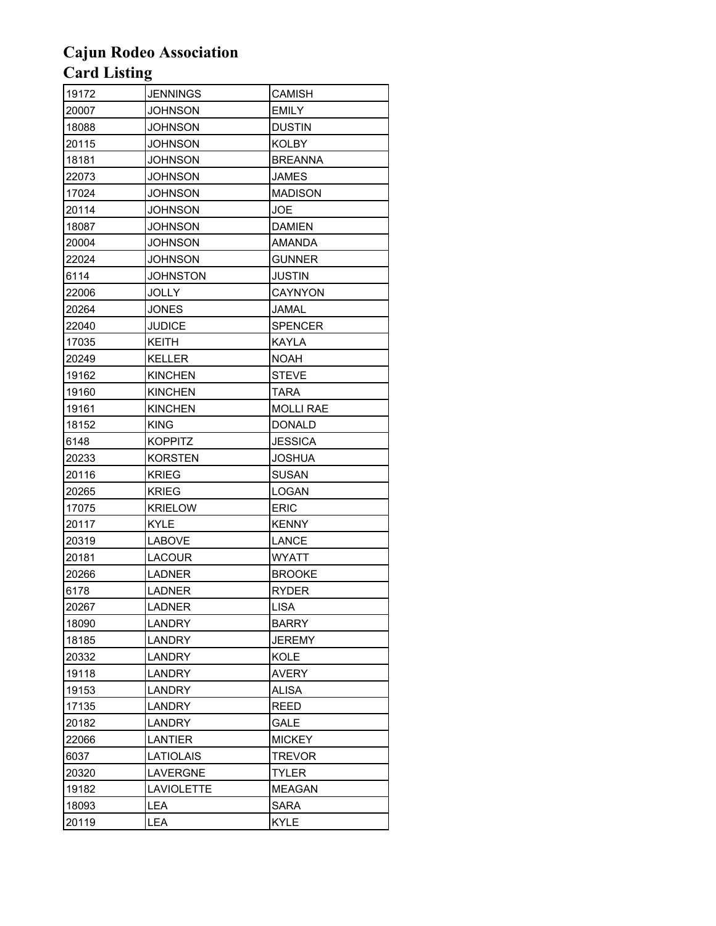| 19172 | <b>JENNINGS</b>   | CAMISH           |
|-------|-------------------|------------------|
| 20007 | <b>JOHNSON</b>    | <b>EMILY</b>     |
| 18088 | JOHNSON           | <b>DUSTIN</b>    |
| 20115 | <b>JOHNSON</b>    | <b>KOLBY</b>     |
| 18181 | <b>JOHNSON</b>    | <b>BREANNA</b>   |
| 22073 | JOHNSON           | JAMES            |
| 17024 | <b>JOHNSON</b>    | <b>MADISON</b>   |
| 20114 | <b>JOHNSON</b>    | JOE              |
| 18087 | <b>JOHNSON</b>    | <b>DAMIEN</b>    |
| 20004 | <b>JOHNSON</b>    | <b>AMANDA</b>    |
| 22024 | <b>JOHNSON</b>    | <b>GUNNER</b>    |
| 6114  | JOHNSTON          | JUSTIN           |
| 22006 | <b>JOLLY</b>      | <b>CAYNYON</b>   |
| 20264 | <b>JONES</b>      | JAMAL            |
| 22040 | JUDICE            | <b>SPENCER</b>   |
| 17035 | <b>KEITH</b>      | KAYLA            |
| 20249 | <b>KELLER</b>     | NOAH             |
| 19162 | <b>KINCHEN</b>    | <b>STEVE</b>     |
| 19160 | <b>KINCHEN</b>    | TARA             |
| 19161 | <b>KINCHEN</b>    | <b>MOLLI RAE</b> |
| 18152 | <b>KING</b>       | <b>DONALD</b>    |
| 6148  | <b>KOPPITZ</b>    | <b>JESSICA</b>   |
| 20233 | <b>KORSTEN</b>    | <b>JOSHUA</b>    |
| 20116 | <b>KRIEG</b>      | <b>SUSAN</b>     |
| 20265 | <b>KRIEG</b>      | LOGAN            |
| 17075 | <b>KRIELOW</b>    | <b>ERIC</b>      |
| 20117 | <b>KYLE</b>       | <b>KENNY</b>     |
| 20319 | LABOVE            | LANCE            |
| 20181 | <b>LACOUR</b>     | <b>WYATT</b>     |
| 20266 | <b>LADNER</b>     | <b>BROOKE</b>    |
| 6178  | <b>LADNER</b>     | <b>RYDER</b>     |
| 20267 | <b>LADNER</b>     | <b>LISA</b>      |
| 18090 | LANDRY            | <b>BARRY</b>     |
| 18185 | LANDRY            | <b>JEREMY</b>    |
| 20332 | LANDRY            | <b>KOLE</b>      |
| 19118 | <b>LANDRY</b>     | <b>AVERY</b>     |
| 19153 | LANDRY            | ALISA            |
| 17135 | LANDRY            | REED             |
| 20182 | LANDRY            | GALE             |
| 22066 | LANTIER           | <b>MICKEY</b>    |
| 6037  | <b>LATIOLAIS</b>  | <b>TREVOR</b>    |
| 20320 | <b>LAVERGNE</b>   | TYLER            |
| 19182 | <b>LAVIOLETTE</b> | <b>MEAGAN</b>    |
| 18093 | LEA               | SARA             |
| 20119 | LEA               | <b>KYLE</b>      |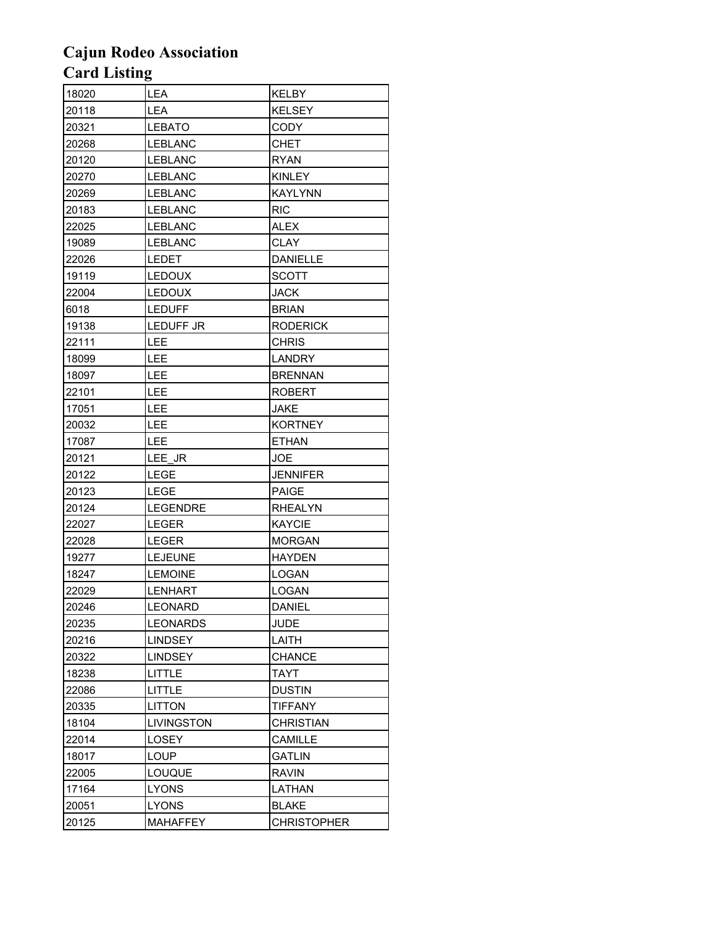| 18020 | LEA              | KELBY              |
|-------|------------------|--------------------|
| 20118 | LEA              | <b>KELSEY</b>      |
| 20321 | <b>LEBATO</b>    | CODY               |
| 20268 | LEBLANC          | <b>CHET</b>        |
| 20120 | <b>LEBLANC</b>   | <b>RYAN</b>        |
| 20270 | <b>LEBLANC</b>   | <b>KINLEY</b>      |
| 20269 | <b>LEBLANC</b>   | <b>KAYLYNN</b>     |
| 20183 | <b>LEBLANC</b>   | <b>RIC</b>         |
| 22025 | <b>LEBLANC</b>   | <b>ALEX</b>        |
| 19089 | <b>LEBLANC</b>   | <b>CLAY</b>        |
| 22026 | <b>LEDET</b>     | <b>DANIELLE</b>    |
| 19119 | <b>LEDOUX</b>    | SCOTT              |
| 22004 | <b>LEDOUX</b>    | <b>JACK</b>        |
| 6018  | <b>LEDUFF</b>    | <b>BRIAN</b>       |
| 19138 | <b>LEDUFF JR</b> | <b>RODERICK</b>    |
| 22111 | LEE              | <b>CHRIS</b>       |
| 18099 | LEE              | <b>LANDRY</b>      |
| 18097 | LEE              | <b>BRENNAN</b>     |
| 22101 | LEE              | <b>ROBERT</b>      |
| 17051 | LEE              | <b>JAKE</b>        |
| 20032 | LEE              | <b>KORTNEY</b>     |
| 17087 | <b>LEE</b>       | <b>ETHAN</b>       |
| 20121 | LEE JR           | JOE                |
| 20122 | LEGE             | <b>JENNIFER</b>    |
| 20123 | LEGE             | <b>PAIGE</b>       |
| 20124 | <b>LEGENDRE</b>  | <b>RHEALYN</b>     |
| 22027 | <b>LEGER</b>     | <b>KAYCIE</b>      |
| 22028 | LEGER            | <b>MORGAN</b>      |
| 19277 | LEJEUNE          | <b>HAYDEN</b>      |
| 18247 | <b>LEMOINE</b>   | LOGAN              |
| 22029 | <b>LENHART</b>   | <b>LOGAN</b>       |
| 20246 | LEONARD          | <b>DANIEL</b>      |
| 20235 | <b>LEONARDS</b>  | JUDE               |
| 20216 | <b>LINDSEY</b>   | LAITH              |
| 20322 | <b>LINDSEY</b>   | <b>CHANCE</b>      |
| 18238 | LITTLE           | <b>TAYT</b>        |
| 22086 | LITTLE           | <b>DUSTIN</b>      |
| 20335 | <b>LITTON</b>    | <b>TIFFANY</b>     |
| 18104 | LIVINGSTON       | <b>CHRISTIAN</b>   |
| 22014 | LOSEY            | <b>CAMILLE</b>     |
| 18017 | <b>LOUP</b>      | <b>GATLIN</b>      |
| 22005 | LOUQUE           | <b>RAVIN</b>       |
| 17164 | <b>LYONS</b>     | LATHAN             |
| 20051 | <b>LYONS</b>     | <b>BLAKE</b>       |
| 20125 | <b>MAHAFFEY</b>  | <b>CHRISTOPHER</b> |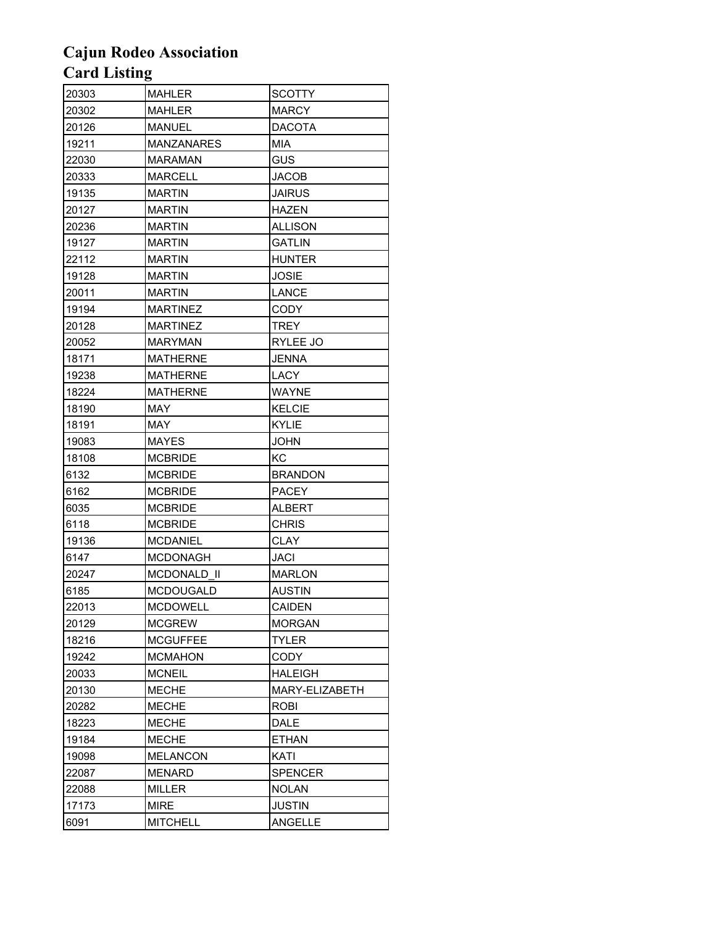| 20303 | <b>MAHLER</b>     | <b>SCOTTY</b>  |
|-------|-------------------|----------------|
| 20302 | <b>MAHLER</b>     | <b>MARCY</b>   |
| 20126 | <b>MANUEL</b>     | DACOTA         |
| 19211 | <b>MANZANARES</b> | MIA            |
| 22030 | MARAMAN           | GUS            |
| 20333 | <b>MARCELL</b>    | <b>JACOB</b>   |
| 19135 | <b>MARTIN</b>     | JAIRUS         |
| 20127 | <b>MARTIN</b>     | HAZEN          |
| 20236 | <b>MARTIN</b>     | ALLISON        |
| 19127 | <b>MARTIN</b>     | <b>GATLIN</b>  |
| 22112 | <b>MARTIN</b>     | HUNTER         |
| 19128 | <b>MARTIN</b>     | JOSIE          |
| 20011 | <b>MARTIN</b>     | LANCE          |
| 19194 | MARTINEZ          | <b>CODY</b>    |
| 20128 | <b>MARTINEZ</b>   | TREY           |
| 20052 | <b>MARYMAN</b>    | RYLEE JO       |
| 18171 | <b>MATHERNE</b>   | JENNA          |
| 19238 | <b>MATHERNE</b>   | LACY           |
| 18224 | <b>MATHERNE</b>   | WAYNE          |
| 18190 | MAY               | KELCIE         |
| 18191 | MAY               | <b>KYLIE</b>   |
| 19083 | <b>MAYES</b>      | JOHN           |
| 18108 | <b>MCBRIDE</b>    | КC             |
| 6132  | <b>MCBRIDE</b>    | <b>BRANDON</b> |
| 6162  | <b>MCBRIDE</b>    | PACEY          |
| 6035  | <b>MCBRIDE</b>    | ALBERT         |
| 6118  | <b>MCBRIDE</b>    | <b>CHRIS</b>   |
| 19136 | <b>MCDANIEL</b>   | CLAY           |
| 6147  | <b>MCDONAGH</b>   | <b>JACI</b>    |
| 20247 | MCDONALD II       | <b>MARLON</b>  |
| 6185  | <b>MCDOUGALD</b>  | <b>AUSTIN</b>  |
| 22013 | <b>MCDOWELL</b>   | <b>CAIDEN</b>  |
| 20129 | <b>MCGREW</b>     | <b>MORGAN</b>  |
| 18216 | <b>MCGUFFEE</b>   | <b>TYLER</b>   |
| 19242 | <b>MCMAHON</b>    | CODY           |
| 20033 | <b>MCNEIL</b>     | <b>HALEIGH</b> |
| 20130 | <b>MECHE</b>      | MARY-ELIZABETH |
| 20282 | <b>MECHE</b>      | ROBI           |
| 18223 | <b>MECHE</b>      | <b>DALE</b>    |
| 19184 | <b>MECHE</b>      | <b>ETHAN</b>   |
| 19098 | <b>MELANCON</b>   | KATI           |
| 22087 | <b>MENARD</b>     | <b>SPENCER</b> |
| 22088 | <b>MILLER</b>     | NOLAN          |
| 17173 | <b>MIRE</b>       | <b>JUSTIN</b>  |
| 6091  | <b>MITCHELL</b>   | ANGELLE        |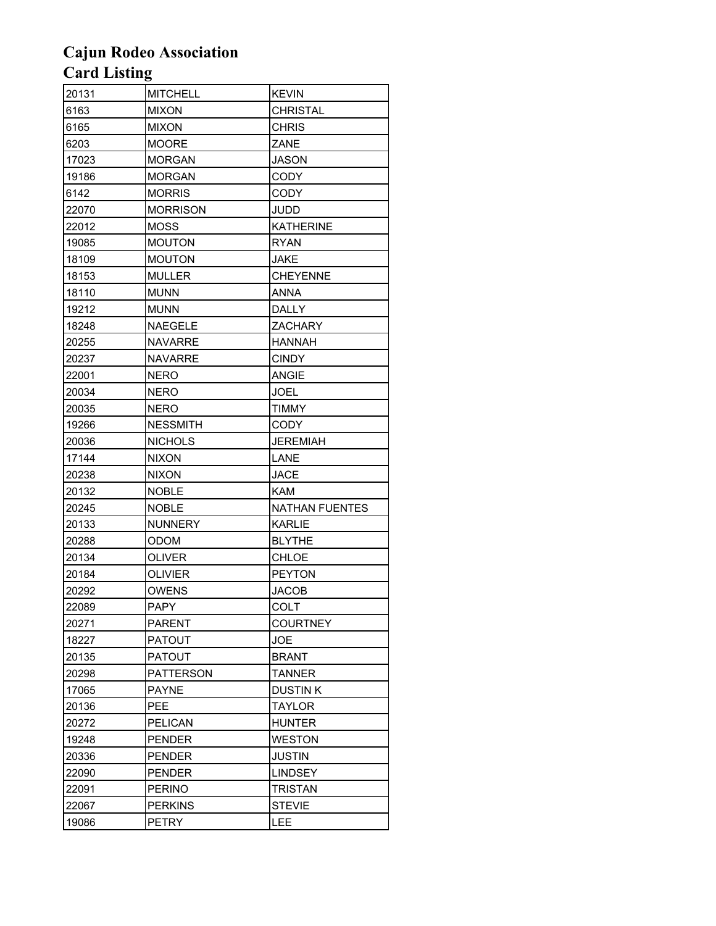| 20131 | <b>MITCHELL</b>  | <b>KEVIN</b>    |
|-------|------------------|-----------------|
| 6163  | <b>MIXON</b>     | <b>CHRISTAL</b> |
| 6165  | <b>MIXON</b>     | <b>CHRIS</b>    |
| 6203  | <b>MOORE</b>     | ZANE            |
| 17023 | <b>MORGAN</b>    | JASON           |
| 19186 | <b>MORGAN</b>    | CODY            |
| 6142  | <b>MORRIS</b>    | CODY            |
| 22070 | <b>MORRISON</b>  | JUDD            |
| 22012 | <b>MOSS</b>      | KATHERINE       |
| 19085 | <b>MOUTON</b>    | <b>RYAN</b>     |
| 18109 | <b>MOUTON</b>    | JAKE            |
| 18153 | MULLER           | <b>CHEYENNE</b> |
| 18110 | <b>MUNN</b>      | <b>ANNA</b>     |
| 19212 | <b>MUNN</b>      | <b>DALLY</b>    |
| 18248 | <b>NAEGELE</b>   | <b>ZACHARY</b>  |
| 20255 | <b>NAVARRE</b>   | <b>HANNAH</b>   |
| 20237 | <b>NAVARRE</b>   | <b>CINDY</b>    |
| 22001 | <b>NERO</b>      | <b>ANGIE</b>    |
| 20034 | <b>NERO</b>      | JOEL            |
| 20035 | <b>NERO</b>      | <b>TIMMY</b>    |
| 19266 | <b>NESSMITH</b>  | <b>CODY</b>     |
| 20036 | <b>NICHOLS</b>   | <b>JEREMIAH</b> |
| 17144 | <b>NIXON</b>     | LANE            |
| 20238 | <b>NIXON</b>     | <b>JACE</b>     |
| 20132 | <b>NOBLE</b>     | <b>KAM</b>      |
| 20245 | <b>NOBLE</b>     | NATHAN FUENTES  |
| 20133 | <b>NUNNERY</b>   | <b>KARLIE</b>   |
| 20288 | ODOM             | <b>BLYTHE</b>   |
| 20134 | OLIVER           | CHLOE           |
| 20184 | <b>OLIVIER</b>   | <b>PEYTON</b>   |
| 20292 | <b>OWENS</b>     | JACOB           |
| 22089 | <b>PAPY</b>      | COLT            |
| 20271 | <b>PARENT</b>    | <b>COURTNEY</b> |
| 18227 | PATOUT           | JOE             |
| 20135 | <b>PATOUT</b>    | <b>BRANT</b>    |
| 20298 | <b>PATTERSON</b> | TANNER          |
| 17065 | <b>PAYNE</b>     | DUSTIN K        |
| 20136 | <b>PEE</b>       | <b>TAYLOR</b>   |
| 20272 | <b>PELICAN</b>   | HUNTER          |
| 19248 | <b>PENDER</b>    | WESTON          |
| 20336 | <b>PENDER</b>    | <b>JUSTIN</b>   |
| 22090 | <b>PENDER</b>    | <b>LINDSEY</b>  |
| 22091 | <b>PERINO</b>    | TRISTAN         |
| 22067 | <b>PERKINS</b>   | <b>STEVIE</b>   |
| 19086 | <b>PETRY</b>     | <b>LEE</b>      |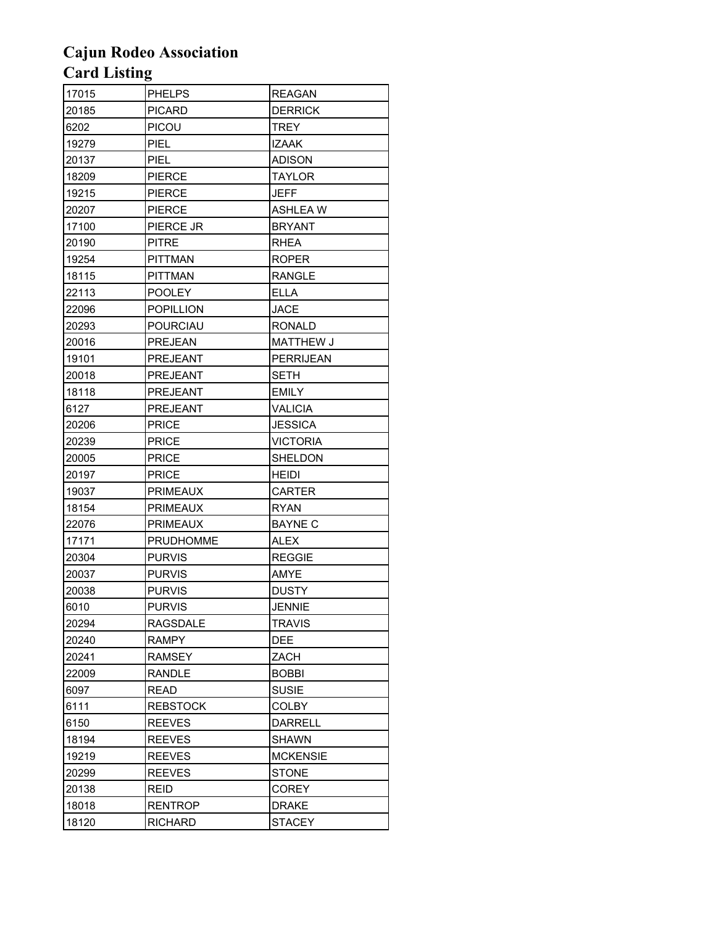| 17015 | <b>PHELPS</b>    | <b>REAGAN</b>    |
|-------|------------------|------------------|
| 20185 | <b>PICARD</b>    | <b>DERRICK</b>   |
| 6202  | <b>PICOU</b>     | TREY             |
| 19279 | <b>PIEL</b>      | IZAAK            |
| 20137 | <b>PIEL</b>      | <b>ADISON</b>    |
| 18209 | <b>PIERCE</b>    | TAYLOR           |
| 19215 | <b>PIERCE</b>    | JEFF             |
| 20207 | <b>PIERCE</b>    | <b>ASHLEAW</b>   |
| 17100 | PIERCE JR        | <b>BRYANT</b>    |
| 20190 | <b>PITRE</b>     | RHEA             |
| 19254 | <b>PITTMAN</b>   | <b>ROPER</b>     |
| 18115 | <b>PITTMAN</b>   | <b>RANGLE</b>    |
| 22113 | <b>POOLEY</b>    | ELLA             |
| 22096 | <b>POPILLION</b> | JACE             |
| 20293 | <b>POURCIAU</b>  | <b>RONALD</b>    |
| 20016 | <b>PREJEAN</b>   | MATTHEW J        |
| 19101 | PREJEANT         | <b>PERRIJEAN</b> |
| 20018 | <b>PREJEANT</b>  | <b>SETH</b>      |
| 18118 | <b>PREJEANT</b>  | <b>EMILY</b>     |
| 6127  | <b>PREJEANT</b>  | <b>VALICIA</b>   |
| 20206 | <b>PRICE</b>     | <b>JESSICA</b>   |
| 20239 | <b>PRICE</b>     | <b>VICTORIA</b>  |
| 20005 | <b>PRICE</b>     | <b>SHELDON</b>   |
| 20197 | <b>PRICE</b>     | <b>HEIDI</b>     |
| 19037 | <b>PRIMEAUX</b>  | CARTER           |
| 18154 | <b>PRIMEAUX</b>  | <b>RYAN</b>      |
| 22076 | <b>PRIMEAUX</b>  | <b>BAYNE C</b>   |
| 17171 | <b>PRUDHOMME</b> | <b>ALEX</b>      |
| 20304 | <b>PURVIS</b>    | <b>REGGIE</b>    |
| 20037 | <b>PURVIS</b>    | AMYE             |
| 20038 | <b>PURVIS</b>    | <b>DUSTY</b>     |
| 6010  | <b>PURVIS</b>    | <b>JENNIE</b>    |
| 20294 | RAGSDALE         | <b>TRAVIS</b>    |
| 20240 | <b>RAMPY</b>     | <b>DEE</b>       |
| 20241 | <b>RAMSEY</b>    | ZACH             |
| 22009 | RANDLE           | <b>BOBBI</b>     |
| 6097  | READ             | <b>SUSIE</b>     |
| 6111  | <b>REBSTOCK</b>  | <b>COLBY</b>     |
| 6150  | <b>REEVES</b>    | <b>DARRELL</b>   |
| 18194 | <b>REEVES</b>    | <b>SHAWN</b>     |
| 19219 | <b>REEVES</b>    | <b>MCKENSIE</b>  |
| 20299 | <b>REEVES</b>    | STONE            |
| 20138 | <b>REID</b>      | <b>COREY</b>     |
| 18018 | <b>RENTROP</b>   | <b>DRAKE</b>     |
| 18120 | <b>RICHARD</b>   | <b>STACEY</b>    |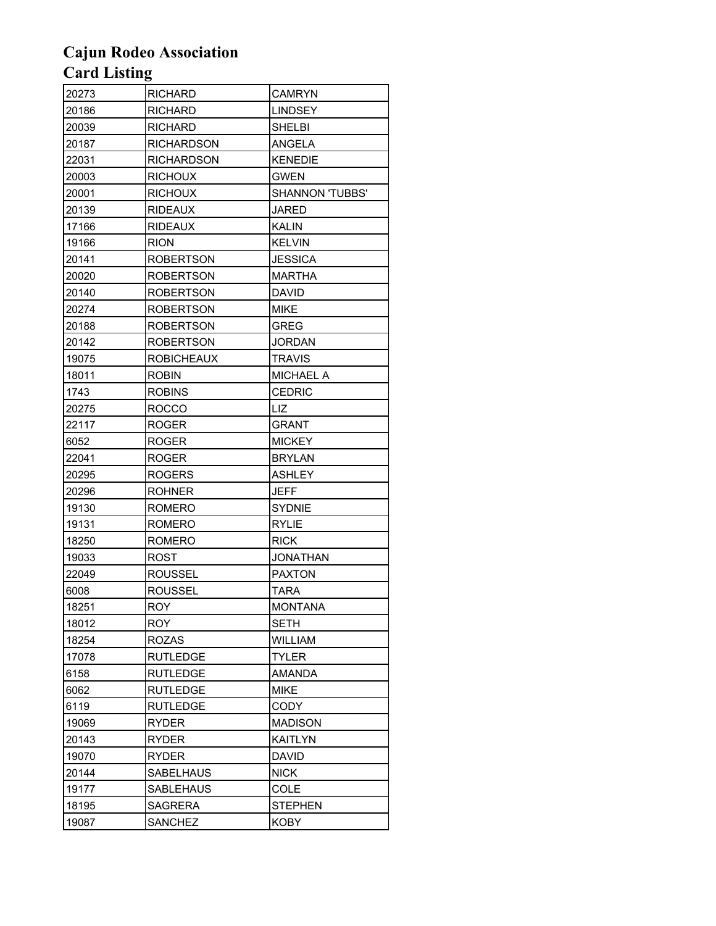| 20273 | RICHARD           | <b>CAMRYN</b>          |
|-------|-------------------|------------------------|
| 20186 | <b>RICHARD</b>    | <b>LINDSEY</b>         |
| 20039 | RICHARD           | <b>SHELBI</b>          |
| 20187 | <b>RICHARDSON</b> | ANGELA                 |
| 22031 | <b>RICHARDSON</b> | <b>KENEDIE</b>         |
| 20003 | <b>RICHOUX</b>    | <b>GWEN</b>            |
| 20001 | <b>RICHOUX</b>    | <b>SHANNON 'TUBBS'</b> |
| 20139 | <b>RIDEAUX</b>    | <b>JARED</b>           |
| 17166 | <b>RIDEAUX</b>    | KALIN                  |
| 19166 | <b>RION</b>       | <b>KELVIN</b>          |
| 20141 | <b>ROBERTSON</b>  | <b>JESSICA</b>         |
| 20020 | ROBERTSON         | MARTHA                 |
| 20140 | ROBERTSON         | DAVID                  |
| 20274 | ROBERTSON         | <b>MIKE</b>            |
| 20188 | <b>ROBERTSON</b>  | <b>GREG</b>            |
| 20142 | ROBERTSON         | <b>JORDAN</b>          |
| 19075 | <b>ROBICHEAUX</b> | <b>TRAVIS</b>          |
| 18011 | <b>ROBIN</b>      | <b>MICHAEL A</b>       |
| 1743  | <b>ROBINS</b>     | <b>CEDRIC</b>          |
| 20275 | <b>ROCCO</b>      | LIZ.                   |
| 22117 | ROGER             | GRANT                  |
| 6052  | ROGER             | <b>MICKEY</b>          |
| 22041 | ROGER             | <b>BRYLAN</b>          |
| 20295 | ROGERS            | ASHLEY                 |
| 20296 | ROHNER            | JEFF                   |
| 19130 | ROMERO            | <b>SYDNIE</b>          |
| 19131 | <b>ROMERO</b>     | <b>RYLIE</b>           |
| 18250 | ROMERO            | <b>RICK</b>            |
| 19033 | ROST              | <b>JONATHAN</b>        |
| 22049 | <b>ROUSSEL</b>    | <b>PAXTON</b>          |
| 6008  | ROUSSEL           | <b>TARA</b>            |
| 18251 | ROY               | <b>MONTANA</b>         |
| 18012 | <b>ROY</b>        | <b>SETH</b>            |
| 18254 | <b>ROZAS</b>      | <b>WILLIAM</b>         |
| 17078 | <b>RUTLEDGE</b>   | <b>TYLER</b>           |
| 6158  | <b>RUTLEDGE</b>   | AMANDA                 |
| 6062  | <b>RUTLEDGE</b>   | <b>MIKE</b>            |
| 6119  | <b>RUTLEDGE</b>   | <b>CODY</b>            |
| 19069 | RYDER             | <b>MADISON</b>         |
| 20143 | <b>RYDER</b>      | <b>KAITLYN</b>         |
| 19070 | <b>RYDER</b>      | <b>DAVID</b>           |
| 20144 | SABELHAUS         | <b>NICK</b>            |
| 19177 | SABLEHAUS         | <b>COLE</b>            |
| 18195 | <b>SAGRERA</b>    | <b>STEPHEN</b>         |
| 19087 | <b>SANCHEZ</b>    | <b>KOBY</b>            |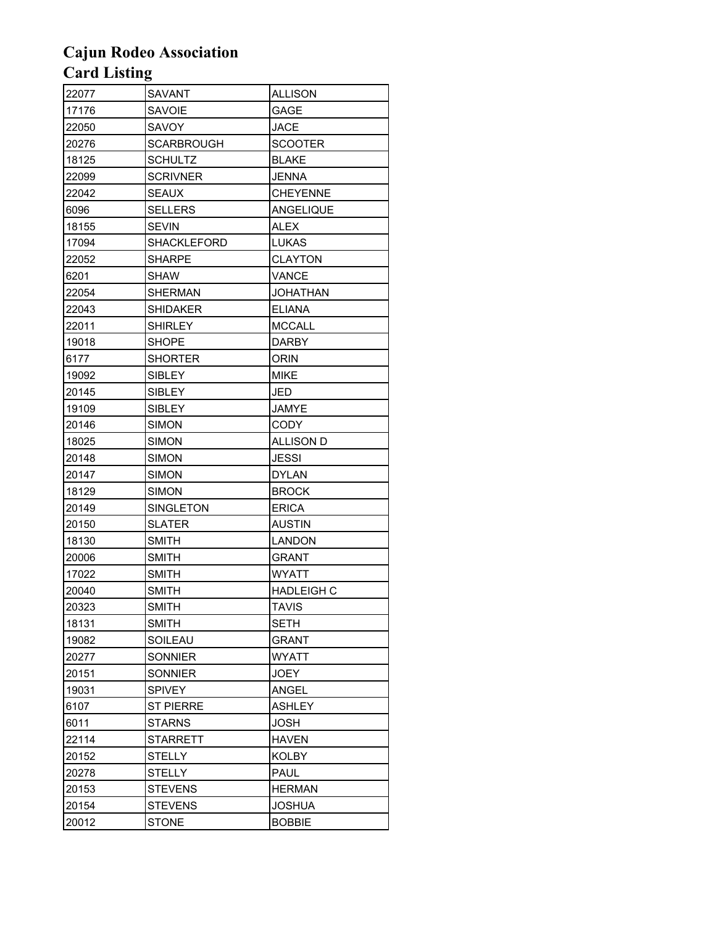| 22077 | SAVANT            | ALLISON           |
|-------|-------------------|-------------------|
| 17176 | <b>SAVOIE</b>     | GAGE              |
| 22050 | SAVOY             | JACE              |
| 20276 | <b>SCARBROUGH</b> | SCOOTER           |
| 18125 | SCHULTZ           | <b>BLAKE</b>      |
| 22099 | <b>SCRIVNER</b>   | JENNA             |
| 22042 | <b>SEAUX</b>      | <b>CHEYENNE</b>   |
| 6096  | <b>SELLERS</b>    | ANGELIQUE         |
| 18155 | <b>SEVIN</b>      | ALEX              |
| 17094 | SHACKLEFORD       | LUKAS             |
| 22052 | <b>SHARPE</b>     | <b>CLAYTON</b>    |
| 6201  | SHAW              | VANCE             |
| 22054 | <b>SHERMAN</b>    | JOHATHAN          |
| 22043 | <b>SHIDAKER</b>   | <b>ELIANA</b>     |
| 22011 | <b>SHIRLEY</b>    | <b>MCCALL</b>     |
| 19018 | <b>SHOPE</b>      | DARBY             |
| 6177  | <b>SHORTER</b>    | ORIN              |
| 19092 | <b>SIBLEY</b>     | <b>MIKE</b>       |
| 20145 | <b>SIBLEY</b>     | JED               |
| 19109 | <b>SIBLEY</b>     | JAMYE             |
| 20146 | <b>SIMON</b>      | <b>CODY</b>       |
| 18025 | <b>SIMON</b>      | <b>ALLISON D</b>  |
| 20148 | <b>SIMON</b>      | JESSI             |
| 20147 | <b>SIMON</b>      | <b>DYLAN</b>      |
| 18129 | <b>SIMON</b>      | <b>BROCK</b>      |
| 20149 | SINGLETON         | ERICA             |
| 20150 | <b>SLATER</b>     | <b>AUSTIN</b>     |
| 18130 | <b>SMITH</b>      | <b>LANDON</b>     |
| 20006 | <b>SMITH</b>      | GRANT             |
| 17022 | <b>SMITH</b>      | <b>WYATT</b>      |
| 20040 | <b>SMITH</b>      | <b>HADLEIGH C</b> |
| 20323 | <b>SMITH</b>      | <b>TAVIS</b>      |
| 18131 | <b>SMITH</b>      | SETH              |
| 19082 | SOILEAU           | <b>GRANT</b>      |
| 20277 | SONNIER           | WYATT             |
| 20151 | <b>SONNIER</b>    | <b>JOEY</b>       |
| 19031 | <b>SPIVEY</b>     | <b>ANGEL</b>      |
| 6107  | <b>ST PIERRE</b>  | <b>ASHLEY</b>     |
| 6011  | <b>STARNS</b>     | JOSH              |
| 22114 | STARRETT          | HAVEN             |
| 20152 | <b>STELLY</b>     | KOLBY             |
| 20278 | <b>STELLY</b>     | PAUL              |
| 20153 | <b>STEVENS</b>    | HERMAN            |
| 20154 | <b>STEVENS</b>    | <b>JOSHUA</b>     |
| 20012 | <b>STONE</b>      | <b>BOBBIE</b>     |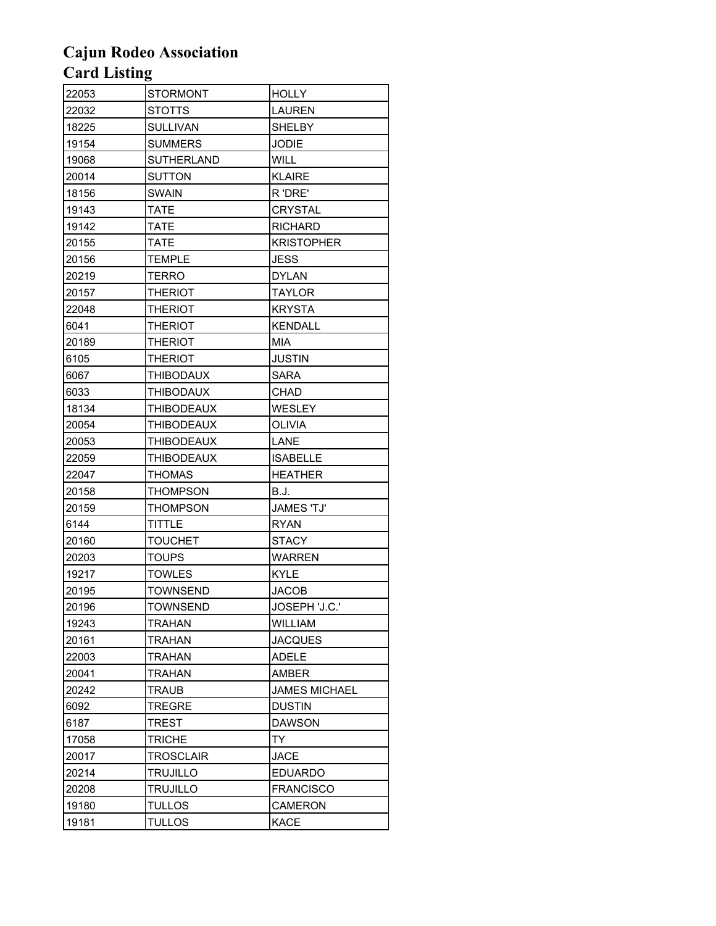| 22053 | STORMONT          | HOLLY                |
|-------|-------------------|----------------------|
| 22032 | <b>STOTTS</b>     | <b>LAUREN</b>        |
| 18225 | <b>SULLIVAN</b>   | <b>SHELBY</b>        |
| 19154 | <b>SUMMERS</b>    | JODIE                |
| 19068 | SUTHERLAND        | <b>WILL</b>          |
| 20014 | <b>SUTTON</b>     | <b>KLAIRE</b>        |
| 18156 | <b>SWAIN</b>      | R 'DRE'              |
| 19143 | <b>TATE</b>       | CRYSTAL              |
| 19142 | <b>TATE</b>       | <b>RICHARD</b>       |
| 20155 | <b>TATE</b>       | <b>KRISTOPHER</b>    |
| 20156 | <b>TEMPLE</b>     | JESS                 |
| 20219 | <b>TERRO</b>      | <b>DYLAN</b>         |
| 20157 | <b>THERIOT</b>    | TAYLOR               |
| 22048 | THERIOT           | KRYSTA               |
| 6041  | <b>THERIOT</b>    | <b>KENDALL</b>       |
| 20189 | <b>THERIOT</b>    | <b>MIA</b>           |
| 6105  | <b>THERIOT</b>    | JUSTIN               |
| 6067  | <b>THIBODAUX</b>  | SARA                 |
| 6033  | <b>THIBODAUX</b>  | CHAD                 |
| 18134 | <b>THIBODEAUX</b> | WESLEY               |
| 20054 | <b>THIBODEAUX</b> | OLIVIA               |
| 20053 | THIBODEAUX        | LANE                 |
| 22059 | THIBODEAUX        | <b>ISABELLE</b>      |
| 22047 | <b>THOMAS</b>     | <b>HEATHER</b>       |
| 20158 | THOMPSON          | B.J.                 |
| 20159 | THOMPSON          | <b>JAMES 'TJ'</b>    |
| 6144  | <b>TITTLE</b>     | <b>RYAN</b>          |
| 20160 | TOUCHET           | STACY                |
| 20203 | <b>TOUPS</b>      | <b>WARREN</b>        |
| 19217 | <b>TOWLES</b>     | KYLE                 |
| 20195 | <b>TOWNSEND</b>   | <b>JACOB</b>         |
| 20196 | <b>TOWNSEND</b>   | JOSEPH 'J.C.'        |
| 19243 | <b>TRAHAN</b>     | WILLIAM              |
| 20161 | <b>TRAHAN</b>     | <b>JACQUES</b>       |
| 22003 | <b>TRAHAN</b>     | ADELE                |
| 20041 | <b>TRAHAN</b>     | AMBER                |
| 20242 | TRAUB             | <b>JAMES MICHAEL</b> |
| 6092  | <b>TREGRE</b>     | <b>DUSTIN</b>        |
| 6187  | TREST             | <b>DAWSON</b>        |
| 17058 | <b>TRICHE</b>     | TY.                  |
| 20017 | <b>TROSCLAIR</b>  | <b>JACE</b>          |
| 20214 | <b>TRUJILLO</b>   | <b>EDUARDO</b>       |
| 20208 | TRUJILLO          | <b>FRANCISCO</b>     |
| 19180 | <b>TULLOS</b>     | CAMERON              |
| 19181 | <b>TULLOS</b>     | <b>KACE</b>          |